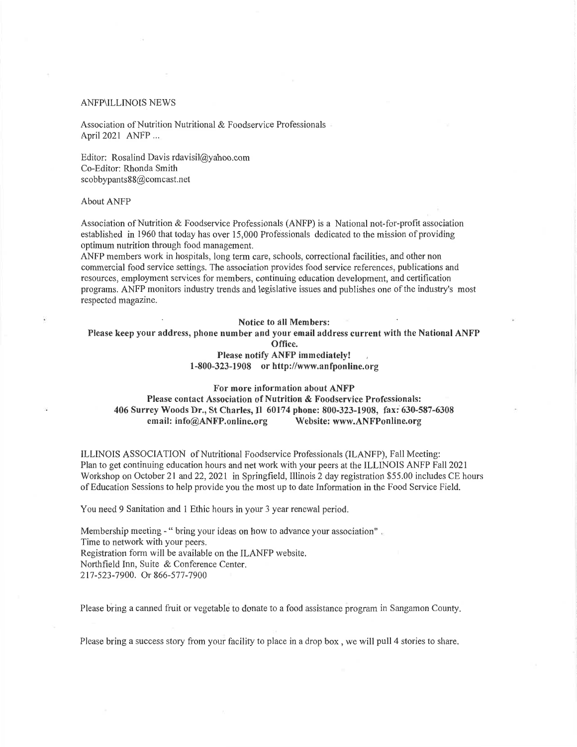### **ANFP\ILLINOIS NEWS**

Association of Nutrition Nutritional & Foodservice Professionals April 2021 ANFP ...

Editor: Rosalind Davis rdavisil@yahoo.com Co-Editor: Rhonda Smith scobbypants88@comcast.net

#### **About ANFP**

Association of Nutrition & Foodservice Professionals (ANFP) is a National not-for-profit association established in 1960 that today has over 15,000 Professionals dedicated to the mission of providing optimum nutrition through food management.

ANFP members work in hospitals, long term care, schools, correctional facilities, and other non commercial food service settings. The association provides food service references, publications and resources, employment services for members, continuing education development, and certification programs. ANFP monitors industry trends and legislative issues and publishes one of the industry's most respected magazine.

Notice to all Members:

Please keep your address, phone number and your email address current with the National ANFP

Office.

Please notify ANFP immediately!  $1-800-323-1908$  or http://www.anfponline.org

For more information about ANFP Please contact Association of Nutrition & Foodservice Professionals: 406 Surrey Woods Dr., St Charles, Il 60174 phone: 800-323-1908, fax: 630-587-6308 email: info@ANFP.online.org Website: www.ANFPonline.org

ILLINOIS ASSOCIATION of Nutritional Foodservice Professionals (ILANFP), Fall Meeting: Plan to get continuing education hours and net work with your peers at the ILLINOIS ANFP Fall 2021 Workshop on October 21 and 22, 2021 in Springfield, Illinois 2 day registration \$55.00 includes CE hours of Education Sessions to help provide you the most up to date Information in the Food Service Field.

You need 9 Sanitation and 1 Ethic hours in your 3 year renewal period.

Membership meeting - " bring your ideas on how to advance your association". Time to network with your peers. Registration form will be available on the ILANFP website. Northfield Inn, Suite & Conference Center. 217-523-7900. Or 866-577-7900

Please bring a canned fruit or vegetable to donate to a food assistance program in Sangamon County.

Please bring a success story from your facility to place in a drop box, we will pull 4 stories to share.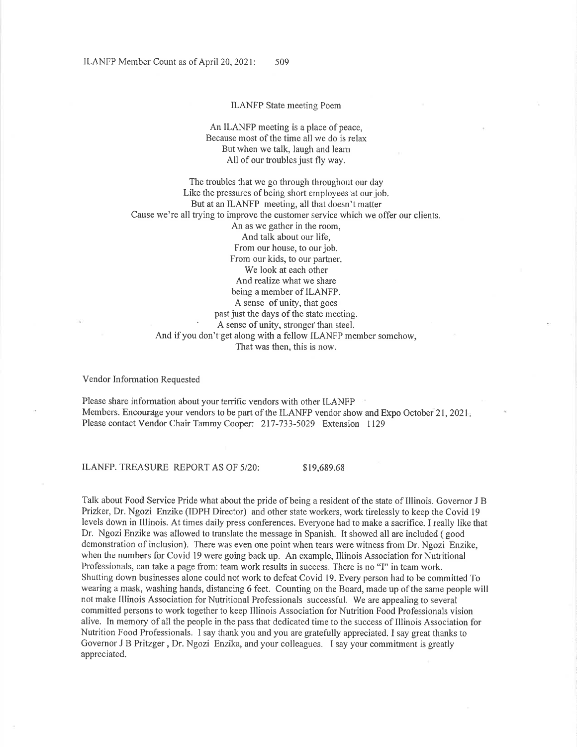### **ILANFP** State meeting Poem

An ILANFP meeting is a place of peace. Because most of the time all we do is relax But when we talk, laugh and learn All of our troubles just fly way.

The troubles that we go through throughout our day Like the pressures of being short employees at our job. But at an ILANFP meeting, all that doesn't matter Cause we're all trying to improve the customer service which we offer our clients. An as we gather in the room, And talk about our life. From our house, to our job. From our kids, to our partner. We look at each other And realize what we share being a member of ILANFP. A sense of unity, that goes past just the days of the state meeting. A sense of unity, stronger than steel. And if you don't get along with a fellow ILANFP member somehow, That was then, this is now.

Vendor Information Requested

Please share information about your terrific vendors with other ILANFP Members. Encourage your vendors to be part of the ILANFP vendor show and Expo October 21, 2021. Please contact Vendor Chair Tammy Cooper: 217-733-5029 Extension 1129

ILANFP. TREASURE REPORT AS OF 5/20:

\$19,689.68

Talk about Food Service Pride what about the pride of being a resident of the state of Illinois. Governor J B Prizker, Dr. Ngozi Enzike (IDPH Director) and other state workers, work tirelessly to keep the Covid 19 levels down in Illinois. At times daily press conferences. Everyone had to make a sacrifice. I really like that Dr. Ngozi Enzike was allowed to translate the message in Spanish. It showed all are included (good demonstration of inclusion). There was even one point when tears were witness from Dr. Ngozi Enzike, when the numbers for Covid 19 were going back up. An example, Illinois Association for Nutritional Professionals, can take a page from: team work results in success. There is no "I" in team work. Shutting down businesses alone could not work to defeat Covid 19. Every person had to be committed To wearing a mask, washing hands, distancing 6 feet. Counting on the Board, made up of the same people will not make Illinois Association for Nutritional Professionals successful. We are appealing to several committed persons to work together to keep Illinois Association for Nutrition Food Professionals vision alive. In memory of all the people in the pass that dedicated time to the success of Illinois Association for Nutrition Food Professionals. I say thank you and you are gratefully appreciated. I say great thanks to Governor J B Pritzger, Dr. Ngozi Enzika, and your colleagues. I say your commitment is greatly appreciated.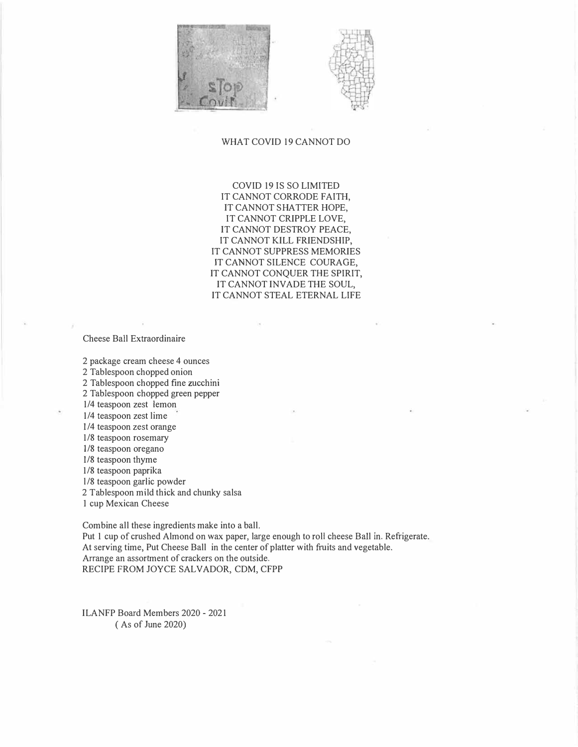



## WHAT COVID 19 CANNOT DO

COVID 19 IS SO LIMITED IT CANNOT CORRODE FAITH, IT CANNOT SHATTER HOPE, IT CANNOT CRIPPLE LOVE, IT CANNOT DESTROY PEACE, IT CANNOT KILL FRIENDSHIP, IT CANNOT SUPPRESS MEMORIES IT CANNOT SILENCE COURAGE, IT CANNOT CONQUER THE SPIRIT, IT CANNOT INVADE THE SOUL, IT CANNOT STEAL ETERNAL LIFE

Cheese Ball Extraordinaire

2 package cream cheese 4 ounces

2 Tablespoon chopped onion

2 Tablespoon chopped fine zucchini

2 Tablespoon chopped green pepper

1/4 teaspoon zest lemon 1/4 teaspoon zest lime

l/4 teaspoon zest orange

1/8 teaspoon rosemary

1/8 teaspoon oregano

l/8 teaspoon thyme

1/8 teaspoon paprika

l/8 teaspoon garlic powder

2 Tablespoon mild thick and chunky salsa

I cup Mexican Cheese

Combine all these ingredients make into a ball.

Put 1 cup of crushed Almond on wax paper, large enough to roll cheese Ball in. Refrigerate. At serving time, Put Cheese Ball in the center of platter with fruits and vegetable. Arrange an assortment of crackers on the outside. RECIPE FROM JOYCE SALVADOR, CDM, CFPP

ILANFP Board Members 2020 - 2021 ( As of June 2020)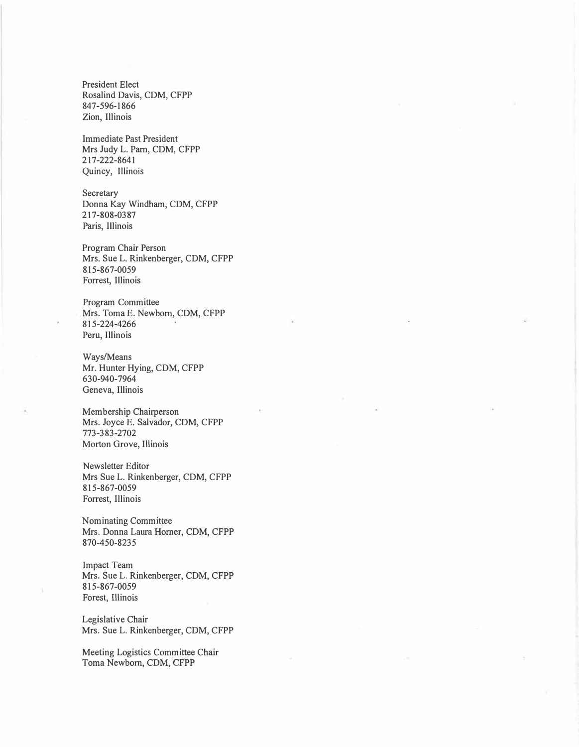President Elect Rosalind Davis, CDM, CFPP 847-596-1866 Zion, Illinois

Immediate Past President Mrs Judy L. Pam, CDM, CFPP 217-222-8641 Quincy, Illinois

**Secretary** Donna Kay Windham, CDM, CFPP 217-808-03 87 Paris, Illinois

Program Chair Person Mrs. Sue L. Rinkenberger, CDM, CFPP 815-867-0059 Forrest, Illinois

Program Committee Mrs. Toma E. Newborn, CDM, CFPP 815-224-4266 Peru, Illinois

Ways/Means Mr. Hunter Hying, CDM, CFPP 630-940-7964 Geneva, Illinois

Membership Chairperson Mrs. Joyce E. Salvador, CDM, CFPP 773-383-2702 Morton Grove, Illinois

Newsletter Editor Mrs Sue L. Rinkenberger, CDM, CFPP 815-867-0059 Forrest, Illinois

Nominating Committee Mrs. Donna Laura Homer, CDM, CFPP 870-450-8235

Impact Team Mrs. Sue L. Rinkenberger, CDM, CFPP 815-867-0059 Forest, Illinois

Legislative Chair Mrs. Sue L. Rinkenberger, COM, CFPP

Meeting Logistics Committee Chair Toma Newborn, CDM, CFPP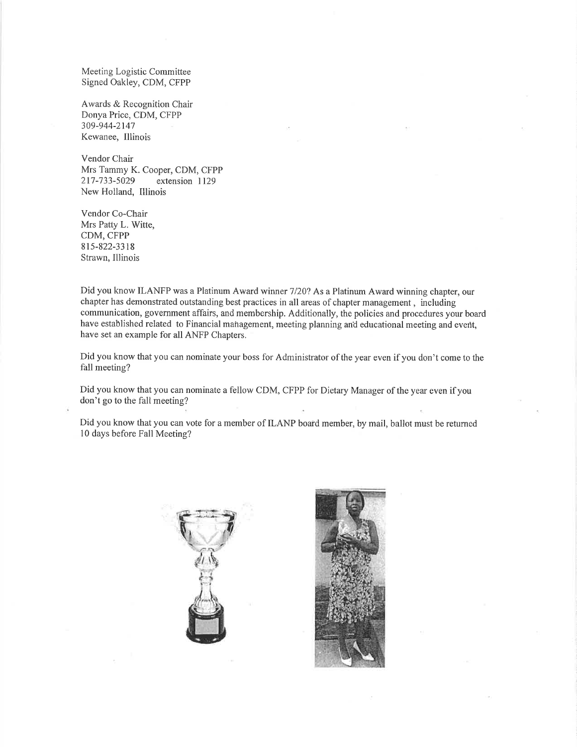Meeting Logistic Committee Signed Oakley, CDM, CFPP

Awards & Recognition Chair Donya Price, CDM, CFPP 309-944-2147 Kewanee, Illinois

Vendor Chair Mrs Tammy K. Cooper, CDM, CFPP 217-733-5029 extension 1129 New Holland, Illinois

Vendor Co-Chair Mrs Patty L. Witte, CDM, CFPP 815-822-3318 Strawn, Illinois

Did you know ILANFP was a Platinum Award winner 7/20? As a Platinum Award winning chapter, our chapter has demonstrated outstanding best practices in all areas of chapter management, including communication, government affairs, and membership. Additionally, the policies and procedures your board have established related to Financial management, meeting planning and educational meeting and event, have set an example for all ANFP Chapters.

Did you know that you can nominate your boss for Administrator of the year even if you don't come to the fall meeting?

Did you know that you can nominate a fellow CDM, CFPP for Dietary Manager of the year even if you don't go to the fall meeting?

Did you know that you can vote for a member of ILANP board member, by mail, ballot must be returned 10 days before Fall Meeting?



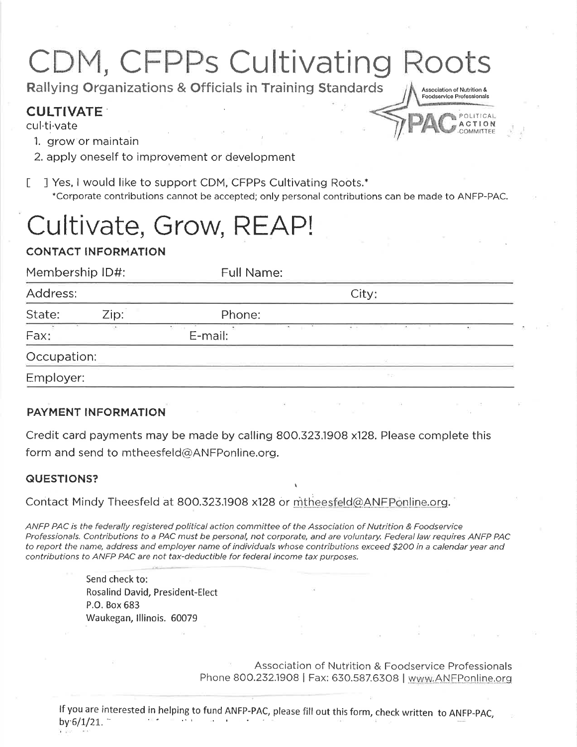# CDM, CFPPs Cultivating Roots

Association of Nutrition & Foodservice Professionals

Rallying Organizations & Officials in Training Standards

## **CULTIVATE**

cul<sub>ti</sub>-vate

- 1. arow or maintain
- 2. apply oneself to improvement or development

J Yes, I would like to support CDM, CFPPs Cultivating Roots.\*  $\Gamma$ \*Corporate contributions cannot be accepted; only personal contributions can be made to ANFP-PAC.

## Cultivate, Grow, REAP!

## **CONTACT INFORMATION**

| Membership ID#:<br>Address: |  | Full Name:<br>City:    |           |
|-----------------------------|--|------------------------|-----------|
|                             |  |                        |           |
| Fax:                        |  | The company<br>E-mail: | $-$<br>20 |
| Occupation:                 |  |                        |           |
| Employer:                   |  |                        | 75        |

## **PAYMENT INFORMATION**

Credit card payments may be made by calling 800.323.1908 x128. Please complete this form and send to mtheesfeld@ANFPonline.org.

## **QUESTIONS?**

Contact Mindy Theesfeld at 800.323.1908 x128 or mtheesfeld@ANFPonline.org.

ANFP PAC is the federally registered political action committee of the Association of Nutrition & Foodservice Professionals. Contributions to a PAC must be personal, not corporate, and are voluntary. Federal law requires ANFP PAC to report the name, address and employer name of individuals whose contributions exceed \$200 in a calendar year and contributions to ANFP PAC are not tax-deductible for federal income tax purposes.

> Send check to: Rosalind David, President-Elect P.O. Box 683 Waukegan, Illinois. 60079

> > Association of Nutrition & Foodservice Professionals Phone 800.232.1908 | Fax: 630.587.6308 | www.ANFPonline.org

If you are interested in helping to fund ANFP-PAC, please fill out this form, check written to ANFP-PAC, by  $6/1/21$ .